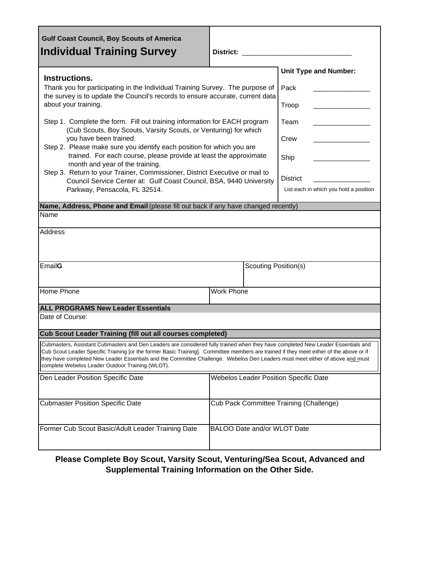| <b>Gulf Coast Council, Boy Scouts of America</b><br><b>Individual Training Survey</b>                                                                                                                                                                                                                                                                                                                                                                            | <b>District:</b>                        |                      |                                        |  |
|------------------------------------------------------------------------------------------------------------------------------------------------------------------------------------------------------------------------------------------------------------------------------------------------------------------------------------------------------------------------------------------------------------------------------------------------------------------|-----------------------------------------|----------------------|----------------------------------------|--|
| Instructions.                                                                                                                                                                                                                                                                                                                                                                                                                                                    |                                         |                      | <b>Unit Type and Number:</b>           |  |
| Thank you for participating in the Individual Training Survey. The purpose of<br>the survey is to update the Council's records to ensure accurate, current data<br>about your training.                                                                                                                                                                                                                                                                          |                                         | Pack                 |                                        |  |
|                                                                                                                                                                                                                                                                                                                                                                                                                                                                  |                                         |                      | Troop                                  |  |
| Step 1. Complete the form. Fill out training information for EACH program<br>(Cub Scouts, Boy Scouts, Varsity Scouts, or Venturing) for which                                                                                                                                                                                                                                                                                                                    |                                         |                      | Team                                   |  |
| you have been trained.<br>Step 2. Please make sure you identify each position for which you are<br>trained. For each course, please provide at least the approximate<br>month and year of the training.                                                                                                                                                                                                                                                          |                                         |                      | Crew                                   |  |
|                                                                                                                                                                                                                                                                                                                                                                                                                                                                  |                                         |                      | Ship                                   |  |
| Step 3. Return to your Trainer, Commissioner, District Executive or mail to<br>Council Service Center at: Gulf Coast Council, BSA, 9440 University                                                                                                                                                                                                                                                                                                               |                                         |                      | <b>District</b>                        |  |
| Parkway, Pensacola, FL 32514.                                                                                                                                                                                                                                                                                                                                                                                                                                    |                                         |                      | List each in which you hold a position |  |
| Name, Address, Phone and Email (please fill out back if any have changed recently)                                                                                                                                                                                                                                                                                                                                                                               |                                         |                      |                                        |  |
| Name                                                                                                                                                                                                                                                                                                                                                                                                                                                             |                                         |                      |                                        |  |
| Address                                                                                                                                                                                                                                                                                                                                                                                                                                                          |                                         |                      |                                        |  |
| EmailG                                                                                                                                                                                                                                                                                                                                                                                                                                                           |                                         | Scouting Position(s) |                                        |  |
| <b>Home Phone</b>                                                                                                                                                                                                                                                                                                                                                                                                                                                | <b>Work Phone</b>                       |                      |                                        |  |
| <b>ALL PROGRAMS New Leader Essentials</b>                                                                                                                                                                                                                                                                                                                                                                                                                        |                                         |                      |                                        |  |
| Date of Course:                                                                                                                                                                                                                                                                                                                                                                                                                                                  |                                         |                      |                                        |  |
| Cub Scout Leader Training (fill out all courses completed)                                                                                                                                                                                                                                                                                                                                                                                                       |                                         |                      |                                        |  |
| Cubmasters, Assistant Cubmasters and Den Leaders are considered fully trained when they have completed New Leader Essentials and<br>Cub Scout Leader Specific Training [or the former Basic Training]. Committee members are trained if they meet either of the above or if<br>they have completed New Leader Essentials and the Committee Challenge. Webelos Den Leaders must meet either of above and must<br>complete Webelos Leader Outdoor Training (WLOT). |                                         |                      |                                        |  |
| Den Leader Position Specific Date                                                                                                                                                                                                                                                                                                                                                                                                                                | Webelos Leader Position Specific Date   |                      |                                        |  |
| <b>Cubmaster Position Specific Date</b>                                                                                                                                                                                                                                                                                                                                                                                                                          | Cub Pack Committee Training (Challenge) |                      |                                        |  |
| Former Cub Scout Basic/Adult Leader Training Date                                                                                                                                                                                                                                                                                                                                                                                                                | BALOO Date and/or WLOT Date             |                      |                                        |  |

## **Please Complete Boy Scout, Varsity Scout, Venturing/Sea Scout, Advanced and Supplemental Training Information on the Other Side.**